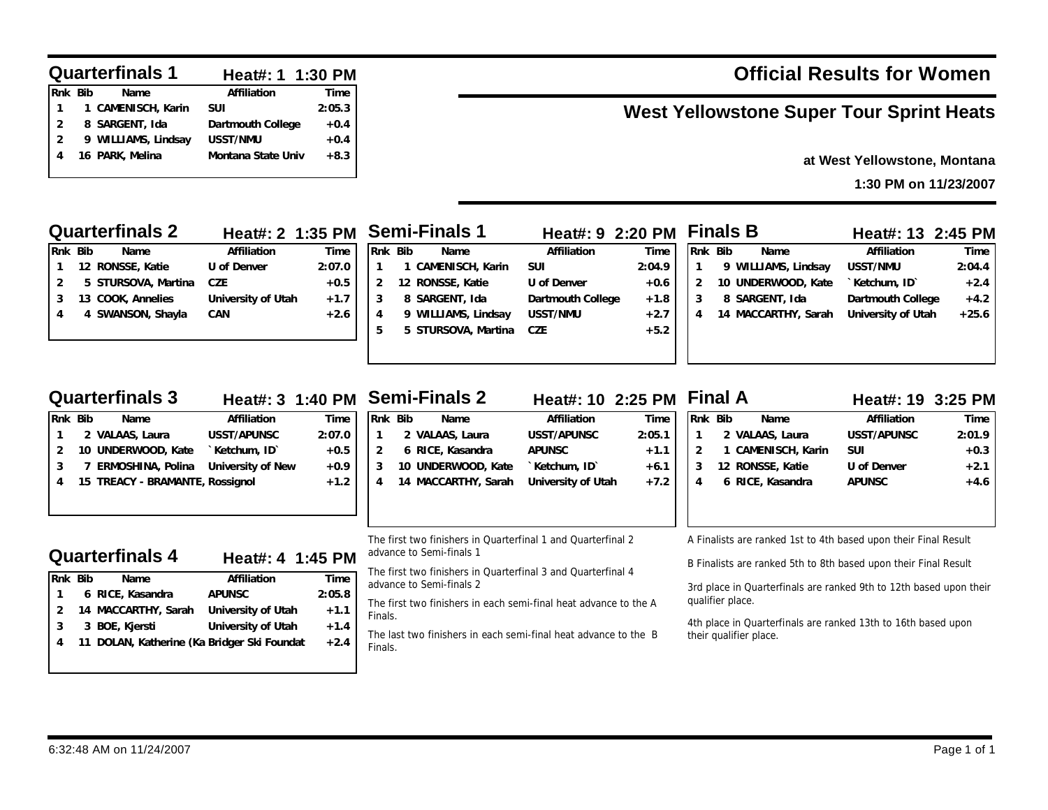|                | <b>Quarterfinals 1</b> | Heat#: 1 1:30 PM   |        |
|----------------|------------------------|--------------------|--------|
| Rnk Bib        | Name                   | Affiliation        | Time   |
|                | 1 CAMENISCH, Karin     | <b>SUI</b>         | 2:05.3 |
| $\overline{2}$ | 8 SARGENT, Ida         | Dartmouth College  | $+0.4$ |
| $\overline{2}$ | 9 WILLIAMS, Lindsay    | <b>USST/NMU</b>    | $+0.4$ |
|                | 16 PARK, Melina        | Montana State Univ | $+8.3$ |

# **Official Results for Women**

# **West Yellowstone Super Tour Sprint Heats**

## **at West Yellowstone, Montana**

**1:30 PM on 11/23/2007**

|                                                                                                                                                                                      |                                                                                              | Heat#: 2 1:35 PM                             | <b>Semi-Finals 1</b>                                                       |                                                                                                                | Heat#: 9 2:20 PM                                                                                                                                                                                                                                                    |                                                        | <b>Finals B</b>                                     |                                                                                                                                                                                                                                                                                                     | Heat#: 13 2:45 PM                                                                      |                                               |
|--------------------------------------------------------------------------------------------------------------------------------------------------------------------------------------|----------------------------------------------------------------------------------------------|----------------------------------------------|----------------------------------------------------------------------------|----------------------------------------------------------------------------------------------------------------|---------------------------------------------------------------------------------------------------------------------------------------------------------------------------------------------------------------------------------------------------------------------|--------------------------------------------------------|-----------------------------------------------------|-----------------------------------------------------------------------------------------------------------------------------------------------------------------------------------------------------------------------------------------------------------------------------------------------------|----------------------------------------------------------------------------------------|-----------------------------------------------|
| Rnk Bib<br><b>Name</b><br>12 RONSSE, Katie<br>$\mathbf{1}$<br>5 STURSOVA, Martina<br>$\overline{2}$<br>13 COOK, Annelies<br>3<br>4 SWANSON, Shayla<br>4                              | Affiliation<br>U of Denver<br><b>CZE</b><br>University of Utah<br><b>CAN</b>                 | Time<br>2:07.0<br>$+0.5$<br>$+1.7$<br>$+2.6$ | Rnk Bib<br>1<br>2<br>3<br>4<br>5                                           | Name<br>1 CAMENISCH, Karin<br>12 RONSSE, Katie<br>8 SARGENT, Ida<br>9 WILLIAMS, Lindsay<br>5 STURSOVA, Martina | Affiliation<br><b>SUI</b><br>U of Denver<br>Dartmouth College<br>USST/NMU<br><b>CZE</b>                                                                                                                                                                             | Time<br>2:04.9<br>$+0.6$<br>$+1.8$<br>$+2.7$<br>$+5.2$ | Rnk Bib<br>$\mathbf{1}$<br>$\overline{2}$<br>3<br>4 | Name<br>9 WILLIAMS, Lindsay<br>10 UNDERWOOD, Kate<br>8 SARGENT, Ida<br>14 MACCARTHY, Sarah                                                                                                                                                                                                          | Affiliation<br>USST/NMU<br>`Ketchum, ID`<br>Dartmouth College<br>University of Utah    | Time<br>2:04.4<br>$+2.4$<br>$+4.2$<br>$+25.6$ |
| <b>Quarterfinals 3</b>                                                                                                                                                               | Heat#: 3 1:40 PM                                                                             |                                              | <b>Semi-Finals 2</b>                                                       |                                                                                                                | Heat#: 10 2:25 PM Final A                                                                                                                                                                                                                                           |                                                        |                                                     |                                                                                                                                                                                                                                                                                                     | Heat#: 19 3:25 PM                                                                      |                                               |
| Rnk Bib<br>Name<br>2 VALAAS, Laura<br>$\mathbf{1}$<br>10 UNDERWOOD, Kate<br>2<br>7 ERMOSHINA, Polina<br>3<br>15 TREACY - BRAMANTE, Rossignol<br>4                                    | Affiliation<br><b>USST/APUNSC</b><br>`Ketchum, ID`<br>University of New                      | Time<br>2:07.0<br>$+0.5$<br>$+0.9$<br>$+1.2$ | Rnk Bib<br>1<br>$\overline{2}$<br>3<br>4                                   | Name<br>2 VALAAS, Laura<br>6 RICE, Kasandra<br>10 UNDERWOOD, Kate<br>14 MACCARTHY, Sarah                       | Affiliation<br><b>USST/APUNSC</b><br><b>APUNSC</b><br>`Ketchum, ID`<br>University of Utah                                                                                                                                                                           | Time<br>2:05.1<br>$+1.1$<br>$+6.1$<br>$+7.2$           | Rnk Bib<br>$\mathbf{1}$<br>$\overline{2}$<br>3<br>4 | Name<br>2 VALAAS, Laura<br>1 CAMENISCH, Karin<br>12 RONSSE, Katie<br>6 RICE, Kasandra                                                                                                                                                                                                               | <b>Affiliation</b><br><b>USST/APUNSC</b><br><b>SUI</b><br>U of Denver<br><b>APUNSC</b> | Time<br>2:01.9<br>$+0.3$<br>$+2.1$<br>$+4.6$  |
| <b>Quarterfinals 4</b><br>Rnk Bib<br>Name<br>6 RICE, Kasandra<br>$\mathbf{1}$<br>14 MACCARTHY, Sarah<br>2<br>3 BOE, Kjersti<br>3<br>11 DOLAN, Katherine (Ka Bridger Ski Foundat<br>4 | Heat#: 4 1:45 PM<br>Affiliation<br><b>APUNSC</b><br>University of Utah<br>University of Utah | Time<br>2:05.8<br>$+1.1$<br>$+1.4$<br>$+2.4$ | advance to Semi-finals 1<br>advance to Semi-finals 2<br>Finals.<br>Finals. |                                                                                                                | The first two finishers in Quarterfinal 1 and Quarterfinal 2<br>The first two finishers in Quarterfinal 3 and Quarterfinal 4<br>The first two finishers in each semi-final heat advance to the A<br>The last two finishers in each semi-final heat advance to the B |                                                        | qualifier place.                                    | A Finalists are ranked 1st to 4th based upon their Final Result<br>B Finalists are ranked 5th to 8th based upon their Final Result<br>3rd place in Quarterfinals are ranked 9th to 12th based upon their<br>4th place in Quarterfinals are ranked 13th to 16th based upon<br>their qualifier place. |                                                                                        |                                               |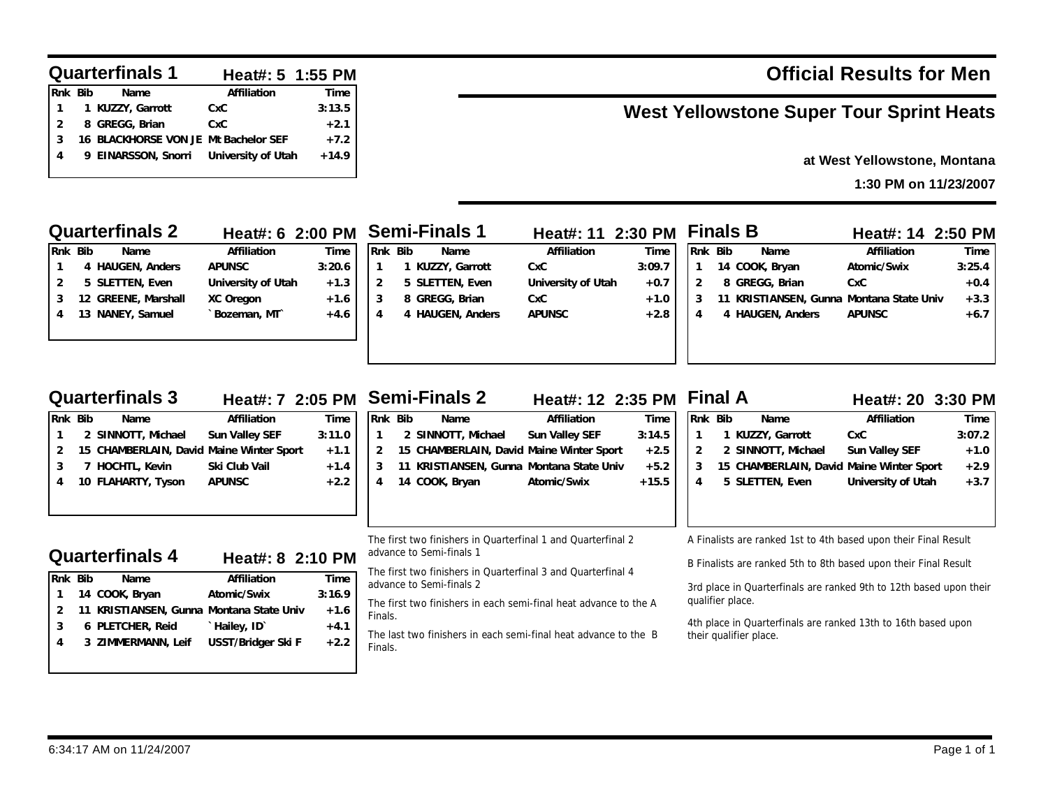#### **Quarterfinals 1 Heat#: 5 1:55 PM**

| Rnk Bib | Name                                   | Affiliation | Time    |
|---------|----------------------------------------|-------------|---------|
| 1       | 1 KUZZY, Garrott                       | CxC         | 3:13.5  |
|         | 8 GREGG, Brian                         | CxC         | $+2.1$  |
| 3       | 16 BLACKHORSE VON JE Mt Bachelor SEF   |             | $+7.2$  |
| 4       | 9 EINARSSON, Snorri University of Utah |             | $+14.9$ |
|         |                                        |             |         |

**Rnk Bib Name Affiliation Time 2 SINNOTT, Michael Sun Valley SEF 3:11.0 15 CHAMBERLAIN, David Maine Winter Sport +1.1 7 HOCHTL, Kevin Ski Club Vail +1.4 10 FLAHARTY, Tyson APUNSC +2.2**

**Rnk Bib Name Affiliation Time 14 COOK, Bryan Atomic/Swix 3:16.9 11 KRISTIANSEN, Gunna Montana State Univ +1.6 6 PLETCHER, Reid `Hailey, ID` +4.1 3 ZIMMERMANN, Leif USST/Bridger Ski F +2.2**

# **Official Results for Men**

# **West Yellowstone Super Tour Sprint Heats**

## **at West Yellowstone, Montana**

**1:30 PM on 11/23/2007**

|   |         | <b>Quarterfinals 2</b> | Heat#: 6 2:00 PM Semi-Finals 1 |        |         |                  | Heat#: 11 2:30 PM  |        |         | <b>Finals B</b>                       | Heat#: 14 2:50 PM |        |
|---|---------|------------------------|--------------------------------|--------|---------|------------------|--------------------|--------|---------|---------------------------------------|-------------------|--------|
|   | Rnk Bib | Name                   | Affiliation                    | Time   | Rnk Bib | Name             | Affiliation        | Time   | Rnk Bib | Name                                  | Affiliation       | Time   |
|   |         | 4 HAUGEN, Anders       | <b>APUNSC</b>                  | 3:20.6 |         | KUZZY, Garrott   | CxC                | 3:09.7 |         | 14 COOK, Bryan                        | Atomic/Swix       | 3:25.4 |
|   |         | 5 SLETTEN, Even        | University of Utah             | $+1.3$ |         | 5 SLETTEN, Even  | University of Utah | $+0.7$ |         | 8 GREGG, Brian                        | <b>CxC</b>        | $+0.4$ |
|   |         | 12 GREENE, Marshall    | XC Oregon                      | $+1.6$ |         | 8 GREGG, Brian   | CxC                | $+1.0$ | 11      | KRISTIANSEN, Gunna Montana State Univ |                   | $+3.3$ |
| 4 |         | 13 NANEY, Samuel       | Bozeman, MT                    | $+4.6$ |         | 4 HAUGEN, Anders | <b>APUNSC</b>      | $+2.8$ |         | HAUGEN, Anders                        | <b>APUNSC</b>     | $+6.7$ |
|   |         |                        |                                |        |         |                  |                    |        |         |                                       |                   |        |
|   |         |                        |                                |        |         |                  |                    |        |         |                                       |                   |        |

## **Quarterfinals 3**

**Quarterfinals 4**

**Heat#: 7 2:05 PM**

**Heat#: 8 2:10 PM**

| <b>Semi-Finals 2</b> |  |  |  |
|----------------------|--|--|--|
|----------------------|--|--|--|

| Rnk Bib       | Name                                     | Affiliation           | Time    |
|---------------|------------------------------------------|-----------------------|---------|
| $\mathbf{1}$  | 2 SINNOTT, Michael                       | <b>Sun Valley SEF</b> | 3:14.5  |
| $\mathcal{P}$ | 15 CHAMBERLAIN, David Maine Winter Sport |                       | $+2.5$  |
| 3             | 11 KRISTIANSEN, Gunna Montana State Univ |                       | $+5.2$  |
| 4             | 14 COOK, Bryan                           | Atomic/Swix           | $+15.5$ |
|               |                                          |                       |         |

The first two finishers in Quarterfinal 1 and Quarterfinal 2 advance to Semi-finals 1

The first two finishers in Quarterfinal 3 and Quarterfinal 4 advance to Semi-finals 2 3rd place in Quarterfinals are ranked 9th to 12th based upon their

The first two finishers in each semi-final heat advance to the A Finals.

The last two finishers in each semi-final heat advance to the B Finals.

### A Finalists are ranked 1st to 4th based upon their Final Result

**Rnk Bib Name Affiliation Time 1 KUZZY, Garrott CxC 3:07.2 2 SINNOTT, Michael Sun Valley SEF +1.0 15 CHAMBERLAIN, David Maine Winter Sport +2.9 5 SLETTEN, Even University of Utah +3.7**

**Final A Heat#: 12 2:35 PM Heat#: 20 3:30 PM**

B Finalists are ranked 5th to 8th based upon their Final Result

qualifier place.

4th place in Quarterfinals are ranked 13th to 16th based upon their qualifier place.

| 11/24/2007<br>6:34:17 AM<br>AM on | Page<br>of |
|-----------------------------------|------------|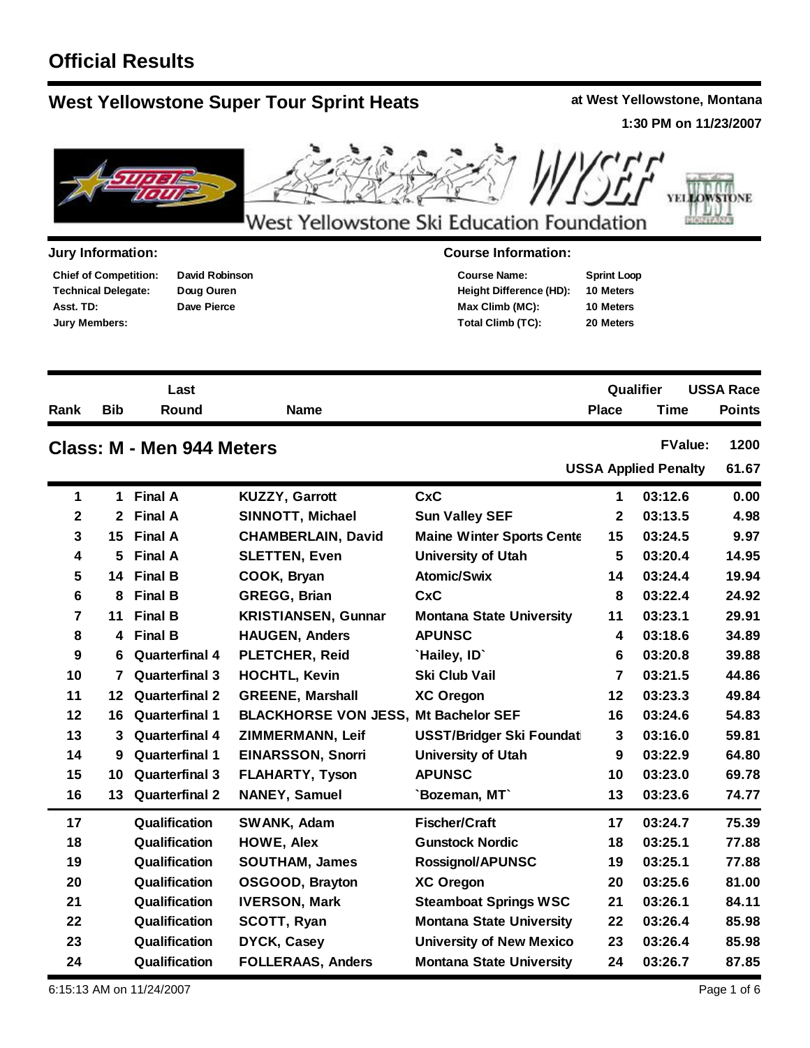# **Official Results**

# **West Yellowstone Super Tour Sprint Heats at West Yellowstone, Montana**

**1:30 PM on 11/23/2007**



## **Jury Information: Course Information:**

**Technical Delegate: Chief of Competition: Asst. TD: Jury Members:**

**David Robinson Doug Ouren Dave Pierce**

| <b>Course Name:</b>            | <b>Sprint Loop</b> |
|--------------------------------|--------------------|
| <b>Height Difference (HD):</b> | 10 Meters          |
| Max Climb (MC):                | 10 Meters          |
| Total Climb (TC):              | 20 Meters          |

|      |            | Last                      |             | Qualifier                   | <b>USSA Race</b> |  |
|------|------------|---------------------------|-------------|-----------------------------|------------------|--|
| Rank | <b>Bib</b> | <b>Round</b>              | <b>Name</b> | Time<br><b>Place</b>        | <b>Points</b>    |  |
|      |            | Class: M - Men 944 Meters |             | <b>FValue:</b>              | 1200             |  |
|      |            |                           |             | <b>USSA Applied Penalty</b> | 61.67            |  |
|      |            |                           |             |                             |                  |  |

| 1           | 1. | <b>Final A</b>        | <b>KUZZY, Garrott</b>                       | <b>CxC</b>                       | 1            | 03:12.6 | 0.00  |
|-------------|----|-----------------------|---------------------------------------------|----------------------------------|--------------|---------|-------|
| $\mathbf 2$ |    | 2 Final A             | SINNOTT, Michael                            | <b>Sun Valley SEF</b>            | $\mathbf{2}$ | 03:13.5 | 4.98  |
| 3           |    | 15 Final A            | <b>CHAMBERLAIN, David</b>                   | <b>Maine Winter Sports Cente</b> | 15           | 03:24.5 | 9.97  |
| 4           | 5  | <b>Final A</b>        | <b>SLETTEN, Even</b>                        | <b>University of Utah</b>        | 5            | 03:20.4 | 14.95 |
| 5           |    | 14 Final B            | COOK, Bryan                                 | <b>Atomic/Swix</b>               | 14           | 03:24.4 | 19.94 |
| 6           | 8  | <b>Final B</b>        | <b>GREGG, Brian</b>                         | <b>CxC</b>                       | 8            | 03:22.4 | 24.92 |
| 7           | 11 | <b>Final B</b>        | <b>KRISTIANSEN, Gunnar</b>                  | <b>Montana State University</b>  | 11           | 03:23.1 | 29.91 |
| 8           | 4  | <b>Final B</b>        | <b>HAUGEN, Anders</b>                       | <b>APUNSC</b>                    | 4            | 03:18.6 | 34.89 |
| 9           | 6  | <b>Quarterfinal 4</b> | <b>PLETCHER, Reid</b>                       | `Hailey, ID`                     | 6            | 03:20.8 | 39.88 |
| 10          | 7  | <b>Quarterfinal 3</b> | <b>HOCHTL, Kevin</b>                        | Ski Club Vail                    | 7            | 03:21.5 | 44.86 |
| 11          | 12 | <b>Quarterfinal 2</b> | <b>GREENE, Marshall</b>                     | <b>XC Oregon</b>                 | 12           | 03:23.3 | 49.84 |
| 12          | 16 | <b>Quarterfinal 1</b> | <b>BLACKHORSE VON JESS, Mt Bachelor SEF</b> |                                  | 16           | 03:24.6 | 54.83 |
| 13          | 3  | <b>Quarterfinal 4</b> | ZIMMERMANN, Leif                            | <b>USST/Bridger Ski Foundati</b> | 3            | 03:16.0 | 59.81 |
| 14          | 9  | <b>Quarterfinal 1</b> | <b>EINARSSON, Snorri</b>                    | <b>University of Utah</b>        | 9            | 03:22.9 | 64.80 |
| 15          | 10 | <b>Quarterfinal 3</b> | <b>FLAHARTY, Tyson</b>                      | <b>APUNSC</b>                    | 10           | 03:23.0 | 69.78 |
| 16          | 13 | <b>Quarterfinal 2</b> | <b>NANEY, Samuel</b>                        | 'Bozeman, MT'                    | 13           | 03:23.6 | 74.77 |
| 17          |    | Qualification         | SWANK, Adam                                 | <b>Fischer/Craft</b>             | 17           | 03:24.7 | 75.39 |
| 18          |    | Qualification         | <b>HOWE, Alex</b>                           | <b>Gunstock Nordic</b>           | 18           | 03:25.1 | 77.88 |
| 19          |    | Qualification         | <b>SOUTHAM, James</b>                       | <b>Rossignol/APUNSC</b>          | 19           | 03:25.1 | 77.88 |
| 20          |    | Qualification         | OSGOOD, Brayton                             | <b>XC Oregon</b>                 | 20           | 03:25.6 | 81.00 |
| 21          |    | Qualification         | <b>IVERSON, Mark</b>                        | <b>Steamboat Springs WSC</b>     | 21           | 03:26.1 | 84.11 |
| 22          |    | Qualification         | <b>SCOTT, Ryan</b>                          | <b>Montana State University</b>  | 22           | 03:26.4 | 85.98 |
| 23          |    | Qualification         | <b>DYCK, Casey</b>                          | <b>University of New Mexico</b>  | 23           | 03:26.4 | 85.98 |
| 24          |    | Qualification         | <b>FOLLERAAS, Anders</b>                    | <b>Montana State University</b>  | 24           | 03:26.7 | 87.85 |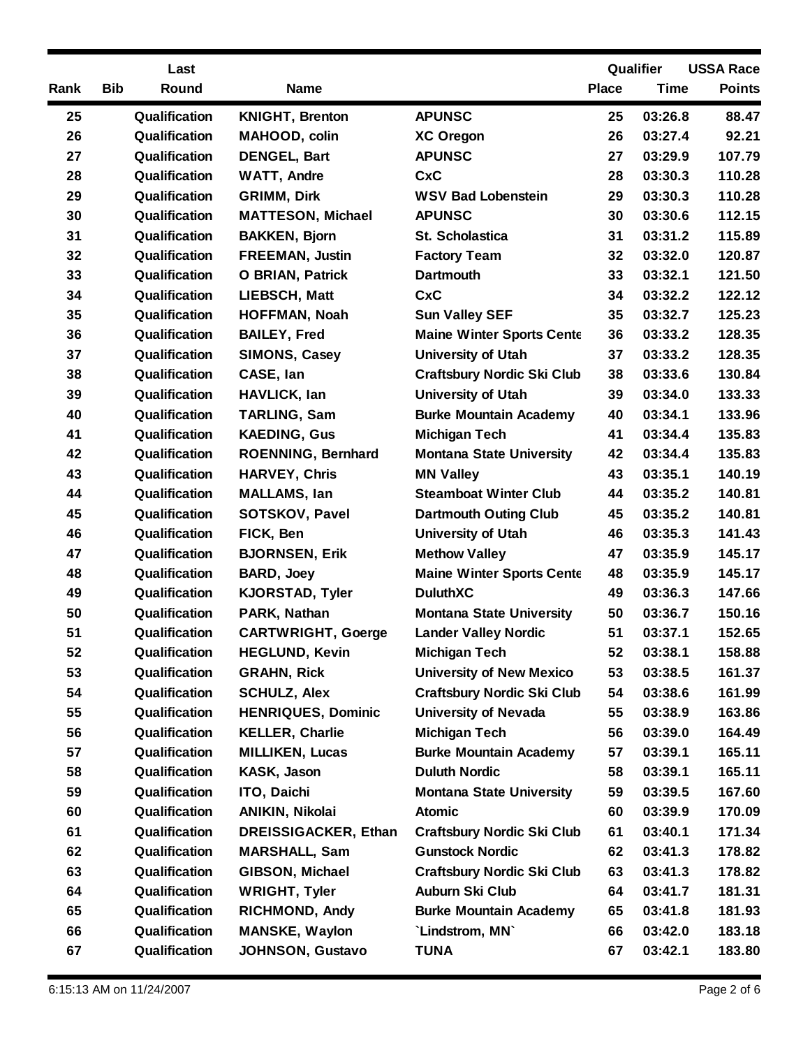|      | Last                |                             |                                   |              | Qualifier | <b>USSA Race</b> |
|------|---------------------|-----------------------------|-----------------------------------|--------------|-----------|------------------|
| Rank | <b>Bib</b><br>Round | <b>Name</b>                 |                                   | <b>Place</b> | Time      | <b>Points</b>    |
| 25   | Qualification       | <b>KNIGHT, Brenton</b>      | <b>APUNSC</b>                     | 25           | 03:26.8   | 88.47            |
| 26   | Qualification       | MAHOOD, colin               | <b>XC Oregon</b>                  | 26           | 03:27.4   | 92.21            |
| 27   | Qualification       | <b>DENGEL, Bart</b>         | <b>APUNSC</b>                     | 27           | 03:29.9   | 107.79           |
| 28   | Qualification       | <b>WATT, Andre</b>          | <b>CxC</b>                        | 28           | 03:30.3   | 110.28           |
| 29   | Qualification       | <b>GRIMM, Dirk</b>          | <b>WSV Bad Lobenstein</b>         | 29           | 03:30.3   | 110.28           |
| 30   | Qualification       | <b>MATTESON, Michael</b>    | <b>APUNSC</b>                     | 30           | 03:30.6   | 112.15           |
| 31   | Qualification       | <b>BAKKEN, Bjorn</b>        | St. Scholastica                   | 31           | 03:31.2   | 115.89           |
| 32   | Qualification       | <b>FREEMAN, Justin</b>      | <b>Factory Team</b>               | 32           | 03:32.0   | 120.87           |
| 33   | Qualification       | <b>O BRIAN, Patrick</b>     | <b>Dartmouth</b>                  | 33           | 03:32.1   | 121.50           |
| 34   | Qualification       | LIEBSCH, Matt               | <b>CxC</b>                        | 34           | 03:32.2   | 122.12           |
| 35   | Qualification       | <b>HOFFMAN, Noah</b>        | <b>Sun Valley SEF</b>             | 35           | 03:32.7   | 125.23           |
| 36   | Qualification       | <b>BAILEY, Fred</b>         | <b>Maine Winter Sports Cente</b>  | 36           | 03:33.2   | 128.35           |
| 37   | Qualification       | <b>SIMONS, Casey</b>        | <b>University of Utah</b>         | 37           | 03:33.2   | 128.35           |
| 38   | Qualification       | CASE, lan                   | <b>Craftsbury Nordic Ski Club</b> | 38           | 03:33.6   | 130.84           |
| 39   | Qualification       | <b>HAVLICK, lan</b>         | <b>University of Utah</b>         | 39           | 03:34.0   | 133.33           |
| 40   | Qualification       | <b>TARLING, Sam</b>         | <b>Burke Mountain Academy</b>     | 40           | 03:34.1   | 133.96           |
| 41   | Qualification       | <b>KAEDING, Gus</b>         | <b>Michigan Tech</b>              | 41           | 03:34.4   | 135.83           |
| 42   | Qualification       | <b>ROENNING, Bernhard</b>   | <b>Montana State University</b>   | 42           | 03:34.4   | 135.83           |
| 43   | Qualification       | <b>HARVEY, Chris</b>        | <b>MN Valley</b>                  | 43           | 03:35.1   | 140.19           |
| 44   | Qualification       | <b>MALLAMS, lan</b>         | <b>Steamboat Winter Club</b>      | 44           | 03:35.2   | 140.81           |
| 45   | Qualification       | <b>SOTSKOV, Pavel</b>       | <b>Dartmouth Outing Club</b>      | 45           | 03:35.2   | 140.81           |
| 46   | Qualification       | FICK, Ben                   | <b>University of Utah</b>         | 46           | 03:35.3   | 141.43           |
| 47   | Qualification       | <b>BJORNSEN, Erik</b>       | <b>Methow Valley</b>              | 47           | 03:35.9   | 145.17           |
| 48   | Qualification       | <b>BARD, Joey</b>           | <b>Maine Winter Sports Cente</b>  | 48           | 03:35.9   | 145.17           |
| 49   | Qualification       | <b>KJORSTAD, Tyler</b>      | <b>DuluthXC</b>                   | 49           | 03:36.3   | 147.66           |
| 50   | Qualification       | PARK, Nathan                | <b>Montana State University</b>   | 50           | 03:36.7   | 150.16           |
| 51   | Qualification       | <b>CARTWRIGHT, Goerge</b>   | <b>Lander Valley Nordic</b>       | 51           | 03:37.1   | 152.65           |
| 52   | Qualification       | <b>HEGLUND, Kevin</b>       | <b>Michigan Tech</b>              | 52           | 03:38.1   | 158.88           |
| 53   | Qualification       | <b>GRAHN, Rick</b>          | <b>University of New Mexico</b>   | 53           | 03:38.5   | 161.37           |
| 54   | Qualification       | <b>SCHULZ, Alex</b>         | <b>Craftsbury Nordic Ski Club</b> | 54           | 03:38.6   | 161.99           |
| 55   | Qualification       | <b>HENRIQUES, Dominic</b>   | <b>University of Nevada</b>       | 55           | 03:38.9   | 163.86           |
| 56   | Qualification       | <b>KELLER, Charlie</b>      | <b>Michigan Tech</b>              | 56           | 03:39.0   | 164.49           |
| 57   | Qualification       | <b>MILLIKEN, Lucas</b>      | <b>Burke Mountain Academy</b>     | 57           | 03:39.1   | 165.11           |
| 58   | Qualification       | KASK, Jason                 | <b>Duluth Nordic</b>              | 58           | 03:39.1   | 165.11           |
| 59   | Qualification       | ITO, Daichi                 | <b>Montana State University</b>   | 59           | 03:39.5   | 167.60           |
| 60   | Qualification       | ANIKIN, Nikolai             | <b>Atomic</b>                     | 60           | 03:39.9   | 170.09           |
| 61   | Qualification       | <b>DREISSIGACKER, Ethan</b> | <b>Craftsbury Nordic Ski Club</b> | 61           | 03:40.1   | 171.34           |
| 62   | Qualification       | <b>MARSHALL, Sam</b>        | <b>Gunstock Nordic</b>            | 62           | 03:41.3   | 178.82           |
| 63   | Qualification       | GIBSON, Michael             | <b>Craftsbury Nordic Ski Club</b> | 63           | 03:41.3   | 178.82           |
| 64   | Qualification       | <b>WRIGHT, Tyler</b>        | Auburn Ski Club                   | 64           | 03:41.7   | 181.31           |
| 65   | Qualification       | <b>RICHMOND, Andy</b>       | <b>Burke Mountain Academy</b>     | 65           | 03:41.8   | 181.93           |
| 66   | Qualification       | <b>MANSKE, Waylon</b>       | 'Lindstrom, MN'                   | 66           | 03:42.0   | 183.18           |
| 67   | Qualification       | <b>JOHNSON, Gustavo</b>     | <b>TUNA</b>                       | 67           | 03:42.1   | 183.80           |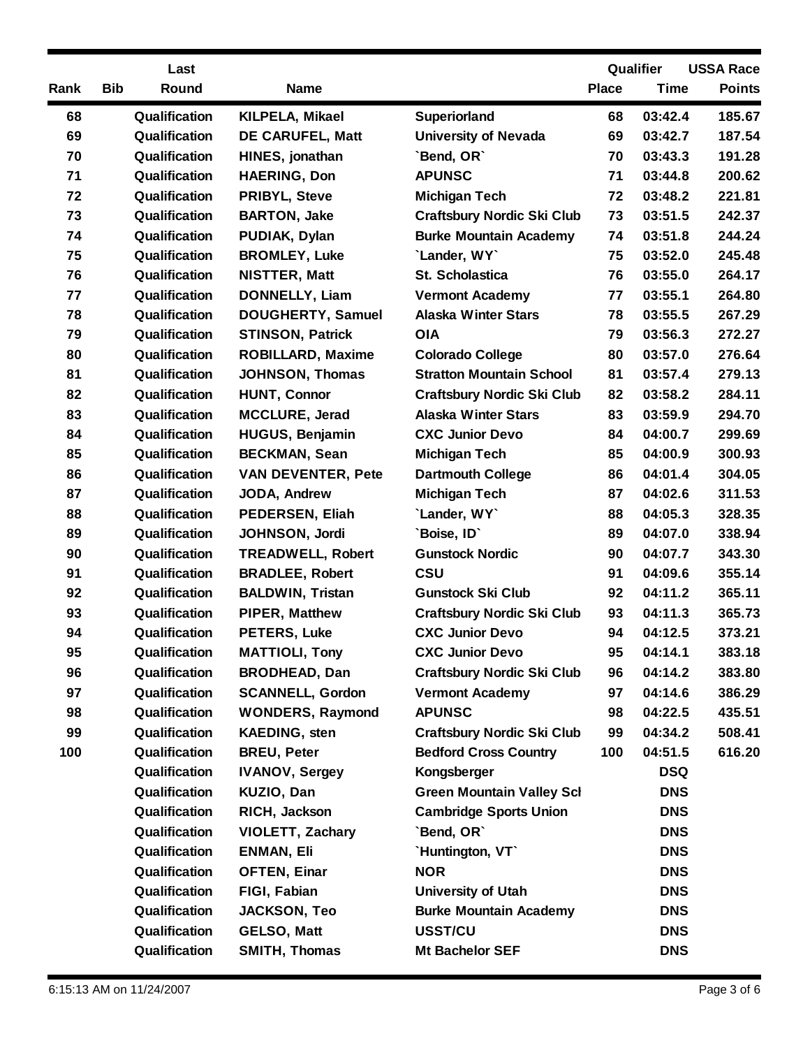|      | Last                |                           |                                   |              | Qualifier   | <b>USSA Race</b> |
|------|---------------------|---------------------------|-----------------------------------|--------------|-------------|------------------|
| Rank | <b>Bib</b><br>Round | <b>Name</b>               |                                   | <b>Place</b> | <b>Time</b> | <b>Points</b>    |
| 68   | Qualification       | KILPELA, Mikael           | <b>Superiorland</b>               | 68           | 03:42.4     | 185.67           |
| 69   | Qualification       | <b>DE CARUFEL, Matt</b>   | <b>University of Nevada</b>       | 69           | 03:42.7     | 187.54           |
| 70   | Qualification       | HINES, jonathan           | `Bend, OR`                        | 70           | 03:43.3     | 191.28           |
| 71   | Qualification       | <b>HAERING, Don</b>       | <b>APUNSC</b>                     | 71           | 03:44.8     | 200.62           |
| 72   | Qualification       | <b>PRIBYL, Steve</b>      | <b>Michigan Tech</b>              | 72           | 03:48.2     | 221.81           |
| 73   | Qualification       | <b>BARTON, Jake</b>       | <b>Craftsbury Nordic Ski Club</b> | 73           | 03:51.5     | 242.37           |
| 74   | Qualification       | PUDIAK, Dylan             | <b>Burke Mountain Academy</b>     | 74           | 03:51.8     | 244.24           |
| 75   | Qualification       | <b>BROMLEY, Luke</b>      | `Lander, WY`                      | 75           | 03:52.0     | 245.48           |
| 76   | Qualification       | <b>NISTTER, Matt</b>      | <b>St. Scholastica</b>            | 76           | 03:55.0     | 264.17           |
| 77   | Qualification       | <b>DONNELLY, Liam</b>     | <b>Vermont Academy</b>            | 77           | 03:55.1     | 264.80           |
| 78   | Qualification       | <b>DOUGHERTY, Samuel</b>  | <b>Alaska Winter Stars</b>        | 78           | 03:55.5     | 267.29           |
| 79   | Qualification       | <b>STINSON, Patrick</b>   | <b>OIA</b>                        | 79           | 03:56.3     | 272.27           |
| 80   | Qualification       | <b>ROBILLARD, Maxime</b>  | <b>Colorado College</b>           | 80           | 03:57.0     | 276.64           |
| 81   | Qualification       | <b>JOHNSON, Thomas</b>    | <b>Stratton Mountain School</b>   | 81           | 03:57.4     | 279.13           |
| 82   | Qualification       | <b>HUNT, Connor</b>       | <b>Craftsbury Nordic Ski Club</b> | 82           | 03:58.2     | 284.11           |
| 83   | Qualification       | <b>MCCLURE, Jerad</b>     | <b>Alaska Winter Stars</b>        | 83           | 03:59.9     | 294.70           |
| 84   | Qualification       | <b>HUGUS, Benjamin</b>    | <b>CXC Junior Devo</b>            | 84           | 04:00.7     | 299.69           |
| 85   | Qualification       | <b>BECKMAN, Sean</b>      | <b>Michigan Tech</b>              | 85           | 04:00.9     | 300.93           |
| 86   | Qualification       | <b>VAN DEVENTER, Pete</b> | <b>Dartmouth College</b>          | 86           | 04:01.4     | 304.05           |
| 87   | Qualification       | JODA, Andrew              | <b>Michigan Tech</b>              | 87           | 04:02.6     | 311.53           |
| 88   | Qualification       | <b>PEDERSEN, Eliah</b>    | 'Lander, WY'                      | 88           | 04:05.3     | 328.35           |
| 89   | Qualification       | JOHNSON, Jordi            | `Boise, ID`                       | 89           | 04:07.0     | 338.94           |
| 90   | Qualification       | <b>TREADWELL, Robert</b>  | <b>Gunstock Nordic</b>            | 90           | 04:07.7     | 343.30           |
| 91   | Qualification       | <b>BRADLEE, Robert</b>    | <b>CSU</b>                        | 91           | 04:09.6     | 355.14           |
| 92   | Qualification       | <b>BALDWIN, Tristan</b>   | <b>Gunstock Ski Club</b>          | 92           | 04:11.2     | 365.11           |
| 93   | Qualification       | PIPER, Matthew            | <b>Craftsbury Nordic Ski Club</b> | 93           | 04:11.3     | 365.73           |
| 94   | Qualification       | <b>PETERS, Luke</b>       | <b>CXC Junior Devo</b>            | 94           | 04:12.5     | 373.21           |
| 95   | Qualification       | <b>MATTIOLI, Tony</b>     | <b>CXC Junior Devo</b>            | 95           | 04:14.1     | 383.18           |
| 96   | Qualification       | <b>BRODHEAD, Dan</b>      | <b>Craftsbury Nordic Ski Club</b> | 96           | 04:14.2     | 383.80           |
| 97   | Qualification       | <b>SCANNELL, Gordon</b>   | <b>Vermont Academy</b>            | 97           | 04:14.6     | 386.29           |
| 98   | Qualification       | <b>WONDERS, Raymond</b>   | <b>APUNSC</b>                     | 98           | 04:22.5     | 435.51           |
| 99   | Qualification       | <b>KAEDING, sten</b>      | <b>Craftsbury Nordic Ski Club</b> | 99           | 04:34.2     | 508.41           |
| 100  | Qualification       | <b>BREU, Peter</b>        | <b>Bedford Cross Country</b>      | 100          | 04:51.5     | 616.20           |
|      | Qualification       | <b>IVANOV, Sergey</b>     | Kongsberger                       |              | <b>DSQ</b>  |                  |
|      | Qualification       | KUZIO, Dan                | <b>Green Mountain Valley Sch</b>  |              | <b>DNS</b>  |                  |
|      | Qualification       | RICH, Jackson             | <b>Cambridge Sports Union</b>     |              | <b>DNS</b>  |                  |
|      | Qualification       | <b>VIOLETT, Zachary</b>   | `Bend, OR`                        |              | <b>DNS</b>  |                  |
|      | Qualification       | <b>ENMAN, Eli</b>         | `Huntington, VT`                  |              | <b>DNS</b>  |                  |
|      | Qualification       | <b>OFTEN, Einar</b>       | <b>NOR</b>                        |              | <b>DNS</b>  |                  |
|      | Qualification       | FIGI, Fabian              | <b>University of Utah</b>         |              | <b>DNS</b>  |                  |
|      | Qualification       | <b>JACKSON, Teo</b>       | <b>Burke Mountain Academy</b>     |              | <b>DNS</b>  |                  |
|      | Qualification       | <b>GELSO, Matt</b>        | USST/CU                           |              | <b>DNS</b>  |                  |
|      | Qualification       | SMITH, Thomas             | <b>Mt Bachelor SEF</b>            |              | <b>DNS</b>  |                  |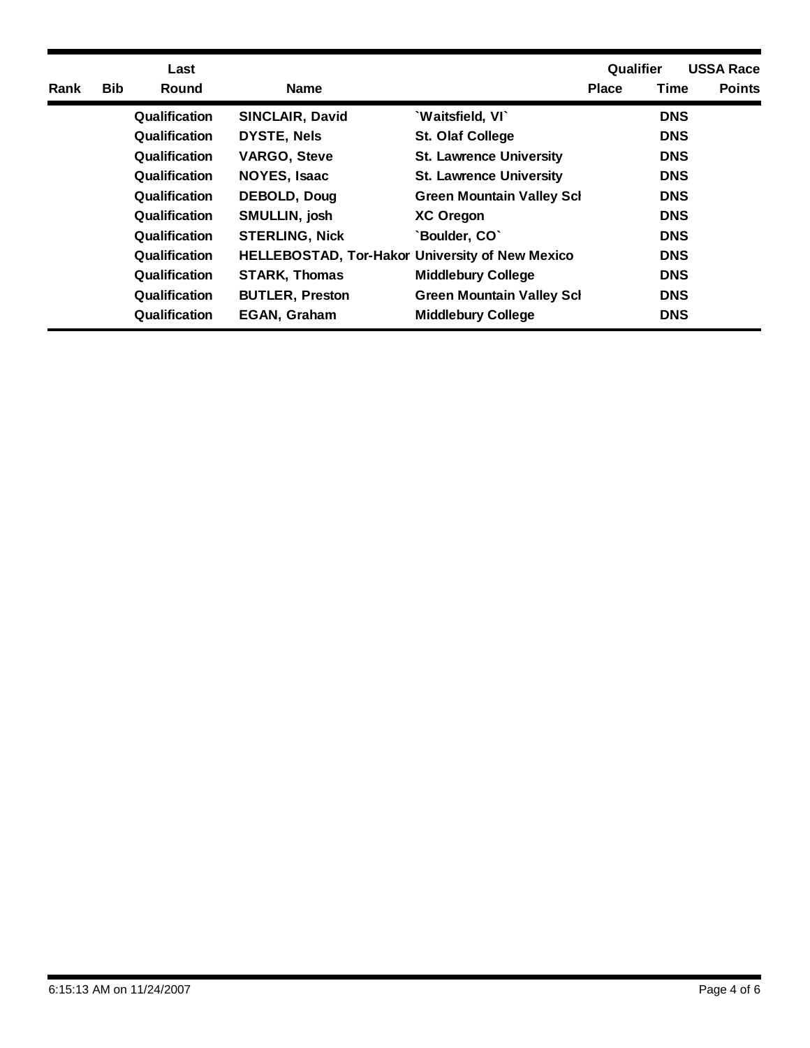|      |            | Last                 |                                                        |                                  | Qualifier    |             | <b>USSA Race</b> |
|------|------------|----------------------|--------------------------------------------------------|----------------------------------|--------------|-------------|------------------|
| Rank | <b>Bib</b> | Round                | <b>Name</b>                                            |                                  | <b>Place</b> | <b>Time</b> | <b>Points</b>    |
|      |            | <b>Qualification</b> | <b>SINCLAIR, David</b>                                 | 'Waitsfield, VI'                 |              | <b>DNS</b>  |                  |
|      |            | Qualification        | <b>DYSTE, Nels</b>                                     | <b>St. Olaf College</b>          |              | <b>DNS</b>  |                  |
|      |            | Qualification        | <b>VARGO, Steve</b>                                    | <b>St. Lawrence University</b>   |              | <b>DNS</b>  |                  |
|      |            | Qualification        | <b>NOYES, Isaac</b>                                    | <b>St. Lawrence University</b>   |              | <b>DNS</b>  |                  |
|      |            | Qualification        | DEBOLD, Doug                                           | <b>Green Mountain Valley Scl</b> |              | <b>DNS</b>  |                  |
|      |            | <b>Qualification</b> | SMULLIN, josh                                          | <b>XC Oregon</b>                 |              | <b>DNS</b>  |                  |
|      |            | Qualification        | <b>STERLING, Nick</b>                                  | 'Boulder, CO'                    |              | <b>DNS</b>  |                  |
|      |            | <b>Qualification</b> | <b>HELLEBOSTAD, Tor-Hakor University of New Mexico</b> |                                  |              | <b>DNS</b>  |                  |
|      |            | <b>Qualification</b> | <b>STARK, Thomas</b>                                   | <b>Middlebury College</b>        |              | <b>DNS</b>  |                  |
|      |            | Qualification        | <b>BUTLER, Preston</b>                                 | <b>Green Mountain Valley Sch</b> |              | <b>DNS</b>  |                  |
|      |            | Qualification        | <b>EGAN, Graham</b>                                    | <b>Middlebury College</b>        |              | <b>DNS</b>  |                  |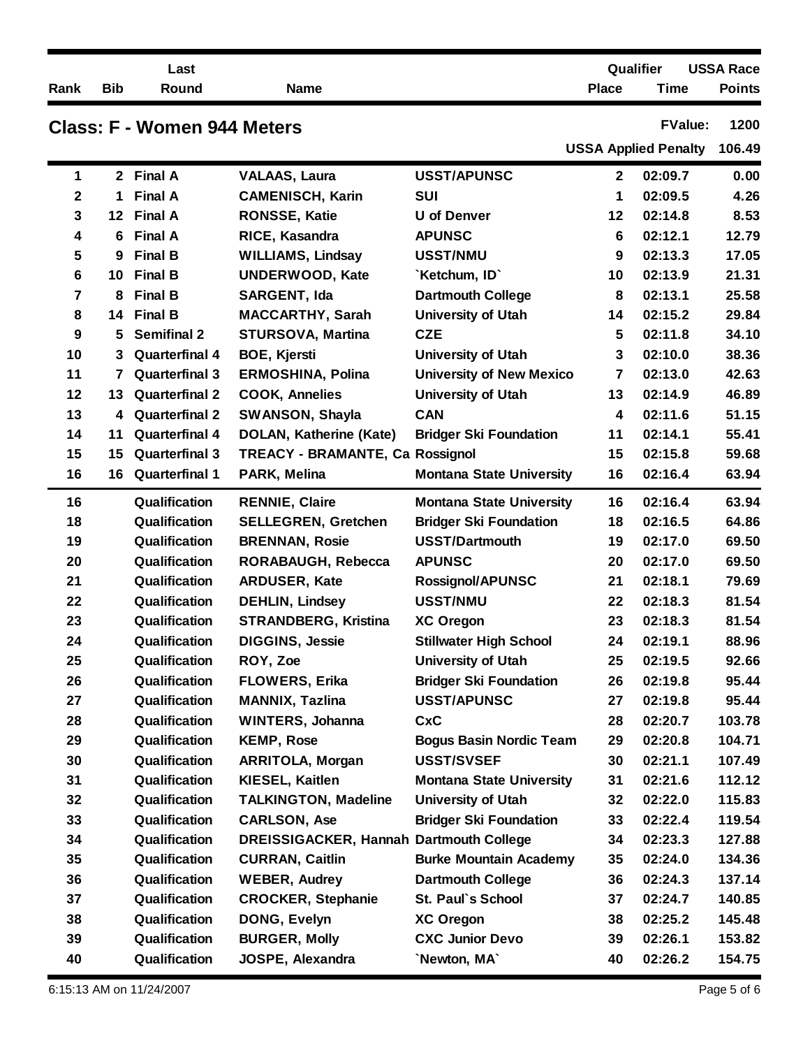|                         |            | Last                               |                                                |                                 |              | Qualifier                   | <b>USSA Race</b> |
|-------------------------|------------|------------------------------------|------------------------------------------------|---------------------------------|--------------|-----------------------------|------------------|
| Rank                    | <b>Bib</b> | Round                              | <b>Name</b>                                    |                                 | <b>Place</b> | <b>Time</b>                 | <b>Points</b>    |
|                         |            | <b>Class: F - Women 944 Meters</b> |                                                |                                 |              | <b>FValue:</b>              | 1200             |
|                         |            |                                    |                                                |                                 |              | <b>USSA Applied Penalty</b> | 106.49           |
| 1                       |            | 2 Final A                          | <b>VALAAS, Laura</b>                           | <b>USST/APUNSC</b>              | $\mathbf{2}$ | 02:09.7                     | 0.00             |
| $\mathbf 2$             | 1          | <b>Final A</b>                     | <b>CAMENISCH, Karin</b>                        | <b>SUI</b>                      | 1            | 02:09.5                     | 4.26             |
| 3                       |            | 12 Final A                         | <b>RONSSE, Katie</b>                           | <b>U</b> of Denver              | 12           | 02:14.8                     | 8.53             |
| 4                       | 6          | <b>Final A</b>                     | RICE, Kasandra                                 | <b>APUNSC</b>                   | 6            | 02:12.1                     | 12.79            |
| 5                       | 9          | <b>Final B</b>                     | <b>WILLIAMS, Lindsay</b>                       | <b>USST/NMU</b>                 | 9            | 02:13.3                     | 17.05            |
| 6                       | 10         | <b>Final B</b>                     | <b>UNDERWOOD, Kate</b>                         | `Ketchum, ID`                   | 10           | 02:13.9                     | 21.31            |
| $\overline{\mathbf{7}}$ | 8          | <b>Final B</b>                     | SARGENT, Ida                                   | <b>Dartmouth College</b>        | 8            | 02:13.1                     | 25.58            |
| 8                       |            | 14 Final B                         | <b>MACCARTHY, Sarah</b>                        | <b>University of Utah</b>       | 14           | 02:15.2                     | 29.84            |
| 9                       | 5          | <b>Semifinal 2</b>                 | <b>STURSOVA, Martina</b>                       | <b>CZE</b>                      | 5            | 02:11.8                     | 34.10            |
| 10                      | 3          | <b>Quarterfinal 4</b>              | <b>BOE, Kjersti</b>                            | <b>University of Utah</b>       | 3            | 02:10.0                     | 38.36            |
| 11                      | 7          | <b>Quarterfinal 3</b>              | <b>ERMOSHINA, Polina</b>                       | <b>University of New Mexico</b> | 7            | 02:13.0                     | 42.63            |
| 12                      | 13         | <b>Quarterfinal 2</b>              | <b>COOK, Annelies</b>                          | <b>University of Utah</b>       | 13           | 02:14.9                     | 46.89            |
| 13                      | 4          | <b>Quarterfinal 2</b>              | <b>SWANSON, Shayla</b>                         | <b>CAN</b>                      | 4            | 02:11.6                     | 51.15            |
| 14                      | 11         | <b>Quarterfinal 4</b>              | DOLAN, Katherine (Kate)                        | <b>Bridger Ski Foundation</b>   | 11           | 02:14.1                     | 55.41            |
| 15                      | 15         | <b>Quarterfinal 3</b>              | <b>TREACY - BRAMANTE, Ca Rossignol</b>         |                                 | 15           | 02:15.8                     | 59.68            |
| 16                      | 16         | <b>Quarterfinal 1</b>              | PARK, Melina                                   | <b>Montana State University</b> | 16           | 02:16.4                     | 63.94            |
| 16                      |            | Qualification                      | <b>RENNIE, Claire</b>                          | <b>Montana State University</b> | 16           | 02:16.4                     | 63.94            |
| 18                      |            | Qualification                      | <b>SELLEGREN, Gretchen</b>                     | <b>Bridger Ski Foundation</b>   | 18           | 02:16.5                     | 64.86            |
| 19                      |            | Qualification                      | <b>BRENNAN, Rosie</b>                          | <b>USST/Dartmouth</b>           | 19           | 02:17.0                     | 69.50            |
| 20                      |            | Qualification                      | RORABAUGH, Rebecca                             | <b>APUNSC</b>                   | 20           | 02:17.0                     | 69.50            |
| 21                      |            | Qualification                      | <b>ARDUSER, Kate</b>                           | <b>Rossignol/APUNSC</b>         | 21           | 02:18.1                     | 79.69            |
| 22                      |            | Qualification                      | <b>DEHLIN, Lindsey</b>                         | <b>USST/NMU</b>                 | 22           | 02:18.3                     | 81.54            |
| 23                      |            | Qualification                      | <b>STRANDBERG, Kristina</b>                    | <b>XC Oregon</b>                | 23           | 02:18.3                     | 81.54            |
| 24                      |            | Qualification                      | <b>DIGGINS, Jessie</b>                         | <b>Stillwater High School</b>   | 24           | 02:19.1                     | 88.96            |
| 25                      |            | Qualification                      | ROY, Zoe                                       | <b>University of Utah</b>       | 25           | 02:19.5                     | 92.66            |
| 26                      |            | Qualification                      | <b>FLOWERS, Erika</b>                          | <b>Bridger Ski Foundation</b>   | 26           | 02:19.8                     | 95.44            |
| 27                      |            | Qualification                      | <b>MANNIX, Tazlina</b>                         | <b>USST/APUNSC</b>              | 27           | 02:19.8                     | 95.44            |
| 28                      |            | Qualification                      | <b>WINTERS, Johanna</b>                        | <b>CxC</b>                      | 28           | 02:20.7                     | 103.78           |
| 29                      |            | Qualification                      | <b>KEMP, Rose</b>                              | <b>Bogus Basin Nordic Team</b>  | 29           | 02:20.8                     | 104.71           |
| 30                      |            | Qualification                      | <b>ARRITOLA, Morgan</b>                        | <b>USST/SVSEF</b>               | 30           | 02:21.1                     | 107.49           |
| 31                      |            | Qualification                      | <b>KIESEL, Kaitlen</b>                         | <b>Montana State University</b> | 31           | 02:21.6                     | 112.12           |
| 32                      |            | Qualification                      | <b>TALKINGTON, Madeline</b>                    | <b>University of Utah</b>       | 32           | 02:22.0                     | 115.83           |
| 33                      |            | Qualification                      | <b>CARLSON, Ase</b>                            | <b>Bridger Ski Foundation</b>   | 33           | 02:22.4                     | 119.54           |
| 34                      |            | Qualification                      | <b>DREISSIGACKER, Hannah Dartmouth College</b> |                                 | 34           | 02:23.3                     | 127.88           |
| 35                      |            | Qualification                      | <b>CURRAN, Caitlin</b>                         | <b>Burke Mountain Academy</b>   | 35           | 02:24.0                     | 134.36           |
| 36                      |            | Qualification                      | <b>WEBER, Audrey</b>                           | <b>Dartmouth College</b>        | 36           | 02:24.3                     | 137.14           |
| 37                      |            | Qualification                      | <b>CROCKER, Stephanie</b>                      | St. Paul's School               | 37           | 02:24.7                     | 140.85           |
| 38                      |            | Qualification                      | DONG, Evelyn                                   | <b>XC Oregon</b>                | 38           | 02:25.2                     | 145.48           |
| 39                      |            | Qualification                      | <b>BURGER, Molly</b>                           | <b>CXC Junior Devo</b>          | 39           | 02:26.1                     | 153.82           |
| 40                      |            | Qualification                      | JOSPE, Alexandra                               | 'Newton, MA'                    | 40           | 02:26.2                     | 154.75           |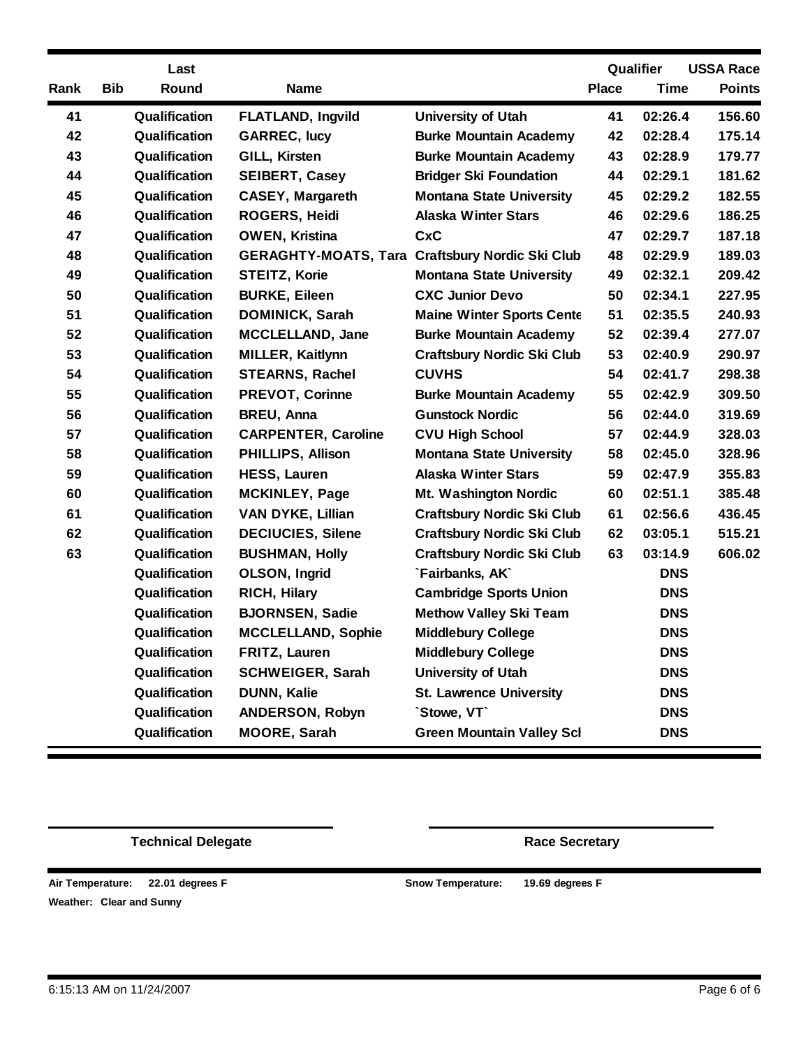|      |            | Last          |                                                        |                                   |              | Qualifier   | <b>USSA Race</b> |
|------|------------|---------------|--------------------------------------------------------|-----------------------------------|--------------|-------------|------------------|
| Rank | <b>Bib</b> | Round         | <b>Name</b>                                            |                                   | <b>Place</b> | <b>Time</b> | <b>Points</b>    |
| 41   |            | Qualification | <b>FLATLAND, Ingvild</b>                               | <b>University of Utah</b>         | 41           | 02:26.4     | 156.60           |
| 42   |            | Qualification | <b>GARREC, lucy</b>                                    | <b>Burke Mountain Academy</b>     | 42           | 02:28.4     | 175.14           |
| 43   |            | Qualification | GILL, Kirsten                                          | <b>Burke Mountain Academy</b>     | 43           | 02:28.9     | 179.77           |
| 44   |            | Qualification | <b>SEIBERT, Casey</b>                                  | <b>Bridger Ski Foundation</b>     | 44           | 02:29.1     | 181.62           |
| 45   |            | Qualification | <b>CASEY, Margareth</b>                                | <b>Montana State University</b>   | 45           | 02:29.2     | 182.55           |
| 46   |            | Qualification | <b>ROGERS, Heidi</b>                                   | <b>Alaska Winter Stars</b>        | 46           | 02:29.6     | 186.25           |
| 47   |            | Qualification | <b>OWEN, Kristina</b>                                  | <b>CxC</b>                        | 47           | 02:29.7     | 187.18           |
| 48   |            | Qualification | <b>GERAGHTY-MOATS, Tara Craftsbury Nordic Ski Club</b> |                                   | 48           | 02:29.9     | 189.03           |
| 49   |            | Qualification | <b>STEITZ, Korie</b>                                   | <b>Montana State University</b>   | 49           | 02:32.1     | 209.42           |
| 50   |            | Qualification | <b>BURKE, Eileen</b>                                   | <b>CXC Junior Devo</b>            | 50           | 02:34.1     | 227.95           |
| 51   |            | Qualification | <b>DOMINICK, Sarah</b>                                 | <b>Maine Winter Sports Cente</b>  | 51           | 02:35.5     | 240.93           |
| 52   |            | Qualification | <b>MCCLELLAND, Jane</b>                                | <b>Burke Mountain Academy</b>     | 52           | 02:39.4     | 277.07           |
| 53   |            | Qualification | <b>MILLER, Kaitlynn</b>                                | <b>Craftsbury Nordic Ski Club</b> | 53           | 02:40.9     | 290.97           |
| 54   |            | Qualification | <b>STEARNS, Rachel</b>                                 | <b>CUVHS</b>                      | 54           | 02:41.7     | 298.38           |
| 55   |            | Qualification | <b>PREVOT, Corinne</b>                                 | <b>Burke Mountain Academy</b>     | 55           | 02:42.9     | 309.50           |
| 56   |            | Qualification | <b>BREU, Anna</b>                                      | <b>Gunstock Nordic</b>            | 56           | 02:44.0     | 319.69           |
| 57   |            | Qualification | <b>CARPENTER, Caroline</b>                             | <b>CVU High School</b>            | 57           | 02:44.9     | 328.03           |
| 58   |            | Qualification | <b>PHILLIPS, Allison</b>                               | <b>Montana State University</b>   | 58           | 02:45.0     | 328.96           |
| 59   |            | Qualification | <b>HESS, Lauren</b>                                    | <b>Alaska Winter Stars</b>        | 59           | 02:47.9     | 355.83           |
| 60   |            | Qualification | <b>MCKINLEY, Page</b>                                  | Mt. Washington Nordic             | 60           | 02:51.1     | 385.48           |
| 61   |            | Qualification | <b>VAN DYKE, Lillian</b>                               | <b>Craftsbury Nordic Ski Club</b> | 61           | 02:56.6     | 436.45           |
| 62   |            | Qualification | <b>DECIUCIES, Silene</b>                               | <b>Craftsbury Nordic Ski Club</b> | 62           | 03:05.1     | 515.21           |
| 63   |            | Qualification | <b>BUSHMAN, Holly</b>                                  | <b>Craftsbury Nordic Ski Club</b> | 63           | 03:14.9     | 606.02           |
|      |            | Qualification | <b>OLSON, Ingrid</b>                                   | `Fairbanks, AK`                   |              | <b>DNS</b>  |                  |
|      |            | Qualification | <b>RICH, Hilary</b>                                    | <b>Cambridge Sports Union</b>     |              | <b>DNS</b>  |                  |
|      |            | Qualification | <b>BJORNSEN, Sadie</b>                                 | <b>Methow Valley Ski Team</b>     |              | <b>DNS</b>  |                  |
|      |            | Qualification | <b>MCCLELLAND, Sophie</b>                              | <b>Middlebury College</b>         |              | <b>DNS</b>  |                  |
|      |            | Qualification | FRITZ, Lauren                                          | <b>Middlebury College</b>         |              | <b>DNS</b>  |                  |
|      |            | Qualification | <b>SCHWEIGER, Sarah</b>                                | <b>University of Utah</b>         |              | <b>DNS</b>  |                  |
|      |            | Qualification | <b>DUNN, Kalie</b>                                     | <b>St. Lawrence University</b>    |              | <b>DNS</b>  |                  |
|      |            | Qualification | <b>ANDERSON, Robyn</b>                                 | `Stowe, VT`                       |              | <b>DNS</b>  |                  |
|      |            | Qualification | <b>MOORE, Sarah</b>                                    | <b>Green Mountain Valley Sch</b>  |              | <b>DNS</b>  |                  |

**Technical Delegate Race** Secretary

**Clear and Sunny Weather: Air Temperature: 22.01 degrees F**  **22.01 degrees F 19.69 degrees F**